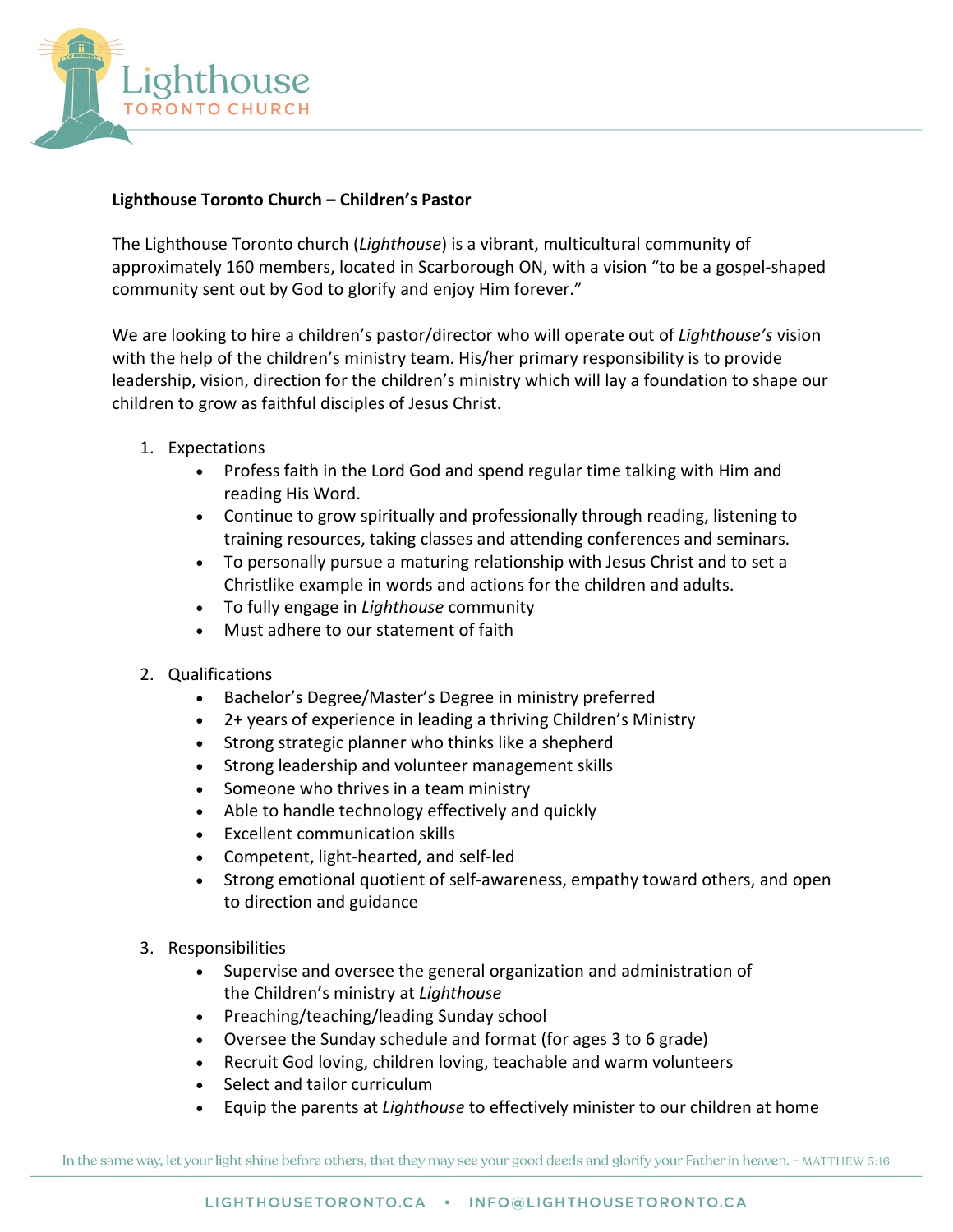

## **Lighthouse Toronto Church – Children's Pastor**

The Lighthouse Toronto church (*Lighthouse*) is a vibrant, multicultural community of approximately 160 members, located in Scarborough ON, with a vision "to be a gospel-shaped community sent out by God to glorify and enjoy Him forever."

We are looking to hire a children's pastor/director who will operate out of *Lighthouse's* vision with the help of the children's ministry team. His/her primary responsibility is to provide leadership, vision, direction for the children's ministry which will lay a foundation to shape our children to grow as faithful disciples of Jesus Christ.

- 1. Expectations
	- Profess faith in the Lord God and spend regular time talking with Him and reading His Word.
	- Continue to grow spiritually and professionally through reading, listening to training resources, taking classes and attending conferences and seminars.
	- To personally pursue a maturing relationship with Jesus Christ and to set a Christlike example in words and actions for the children and adults.
	- To fully engage in *Lighthouse* community
	- Must adhere to our statement of faith
- 2. Qualifications
	- Bachelor's Degree/Master's Degree in ministry preferred
	- 2+ years of experience in leading a thriving Children's Ministry
	- Strong strategic planner who thinks like a shepherd
	- Strong leadership and volunteer management skills
	- Someone who thrives in a team ministry
	- Able to handle technology effectively and quickly
	- Excellent communication skills
	- Competent, light-hearted, and self-led
	- Strong emotional quotient of self-awareness, empathy toward others, and open to direction and guidance
- 3. Responsibilities
	- Supervise and oversee the general organization and administration of the Children's ministry at *Lighthouse*
	- Preaching/teaching/leading Sunday school
	- Oversee the Sunday schedule and format (for ages 3 to 6 grade)
	- Recruit God loving, children loving, teachable and warm volunteers
	- Select and tailor curriculum
	- Equip the parents at *Lighthouse* to effectively minister to our children at home

In the same way, let your light shine before others, that they may see your good deeds and glorify your Father in heaven. - MATTHEW 5:16